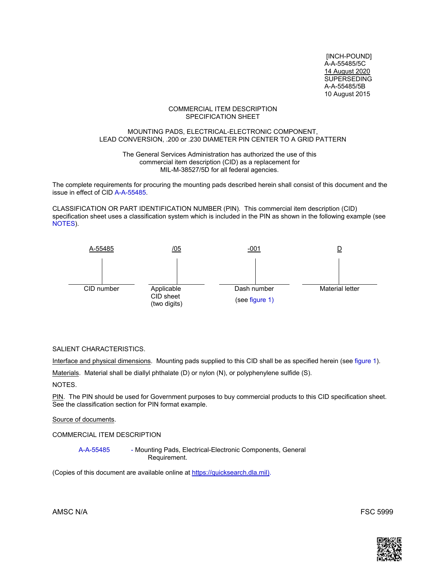[INCH-POUND] A-A-55485/5C 14 August 2020 SUPERSEDING A-A-55485/5B 10 August 2015

#### COMMERCIAL ITEM DESCRIPTION SPECIFICATION SHEET

#### MOUNTING PADS, ELECTRICAL-ELECTRONIC COMPONENT, LEAD CONVERSION, .200 or .230 DIAMETER PIN CENTER TO A GRID PATTERN

The General Services Administration has authorized the use of this commercial item description (CID) as a replacement for MIL-M-38527/5D for all federal agencies.

The complete requirements for procuring the mounting pads described herein shall consist of this document and the issue in effect of CID [A-A-55485.](https://landandmaritimeapps.dla.mil/Downloads/MilSpec/Docs/A-A-55485/aa55485.pdf) 

CLASSIFICATION OR PART IDENTIFICATION NUMBER (PIN). This commercial item description (CID) specification sheet uses a classification system which is included in the PIN as shown in the following example (see NOTES).



#### SALIENT CHARACTERISTICS.

Interface and physical dimensions. Mounting pads supplied to this CID shall be as specified herein (see [figure 1\).](#page-1-0) 

Materials. Material shall be diallyl phthalate (D) or nylon (N), or polyphenylene sulfide (S).

NOTES.

PIN. The PIN should be used for Government purposes to buy commercial products to this CID specification sheet. See the classification section for PIN format example.

Source of documents.

COMMERCIAL ITEM DESCRIPTION

[A-A-55485](https://landandmaritimeapps.dla.mil/Downloads/MilSpec/Docs/A-A-55485/aa55485.pdf) - Mounting Pads, Electrical-Electronic Components, General Requirement.

(Copies of this document are available online a[t https://quicksearch.dla.mil\).](https://quicksearch.dla.mil) 

AMSC N/A FSC 5999

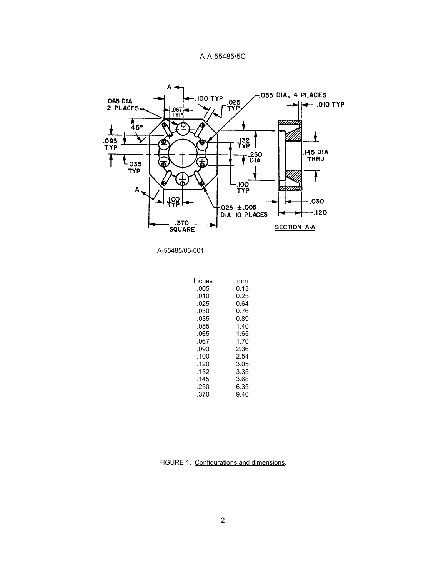<span id="page-1-0"></span>

| mm   |
|------|
| 0.13 |
| 0.25 |
| 0.64 |
| 0.76 |
| 0.89 |
| 1.40 |
| 1.65 |
| 1.70 |
| 2.36 |
| 2.54 |
| 3.05 |
| 3.35 |
| 3.68 |
| 6.35 |
| 9.40 |
|      |

FIGURE 1. Configurations and dimensions.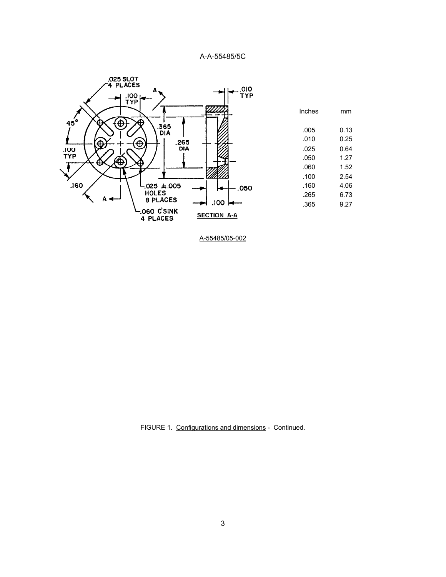

FIGURE 1. Configurations and dimensions - Continued.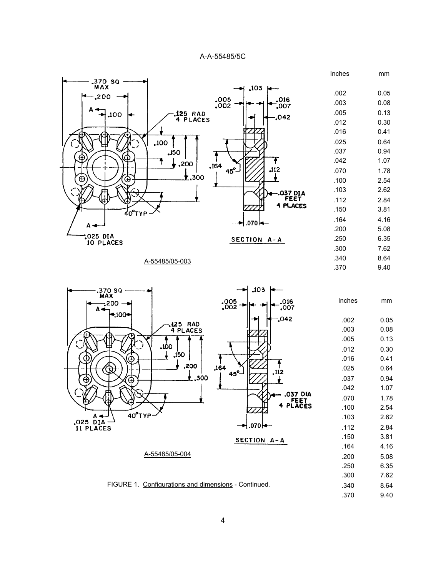

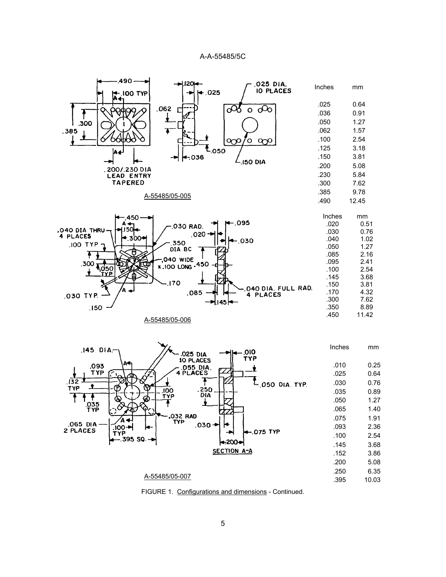

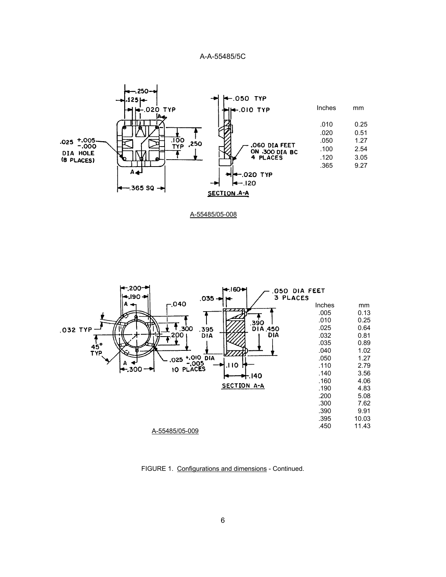



FIGURE 1. Configurations and dimensions - Continued.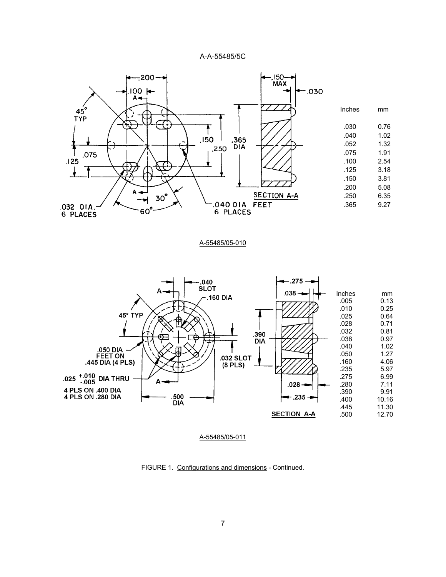

#### A-55485/05-010



FIGURE 1. Configurations and dimensions - Continued.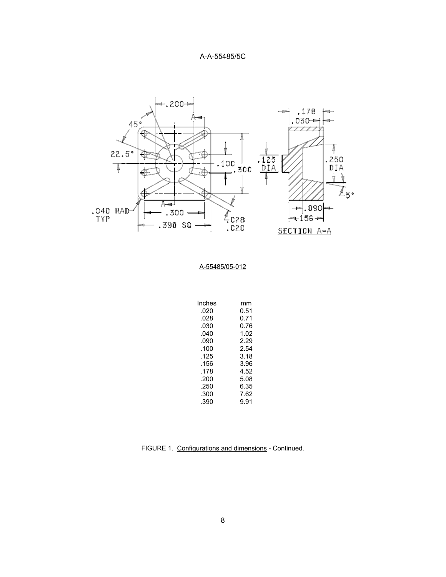

| Inches | mm   |
|--------|------|
| .020   | 0.51 |
| .028   | 0.71 |
| .030   | 0.76 |
| .040   | 1.02 |
| .090   | 2.29 |
| .100   | 2.54 |
| .125   | 3.18 |
| .156   | 3.96 |
| .178   | 4.52 |
| .200   | 5.08 |
| .250   | 6.35 |
| .300   | 7.62 |
| .390   | 9.91 |

FIGURE 1. Configurations and dimensions - Continued.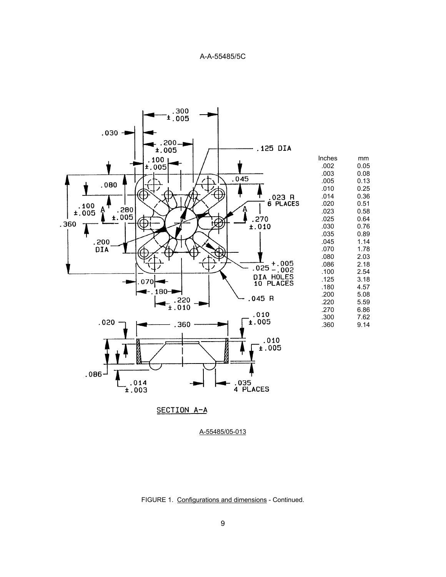

A-55485/05-013

FIGURE 1. Configurations and dimensions - Continued.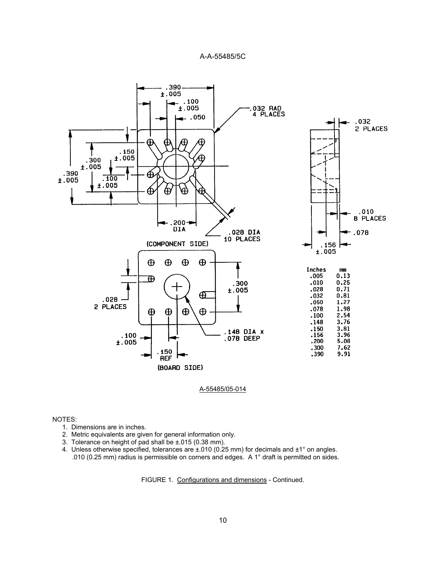

#### A-55485/05-014

#### NOTES:

- 1. Dimensions are in inches.
- 2. Metric equivalents are given for general information only.
- 3. Tolerance on height of pad shall be ±.015 (0.38 mm).
- 4. Unless otherwise specified, tolerances are  $\pm 010$  (0.25 mm) for decimals and  $\pm 1^{\circ}$  on angles. .010 (0.25 mm) radius is permissible on corners and edges. A 1° draft is permitted on sides.

FIGURE 1. Configurations and dimensions - Continued.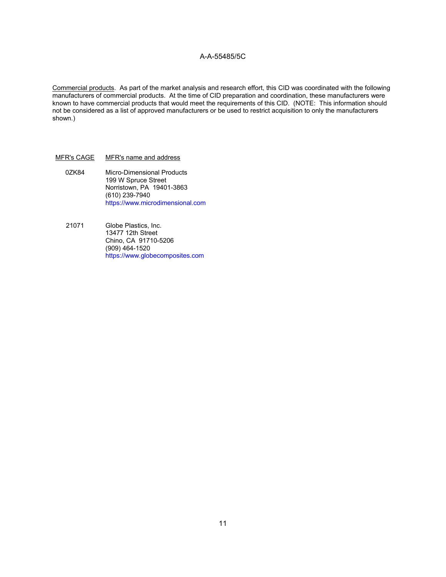Commercial products. As part of the market analysis and research effort, this CID was coordinated with the following manufacturers of commercial products. At the time of CID preparation and coordination, these manufacturers were known to have commercial products that would meet the requirements of this CID. (NOTE: This information should not be considered as a list of approved manufacturers or be used to restrict acquisition to only the manufacturers shown.)

#### MFR's CAGE MFR's name and address

- 0ZK84 Micro-Dimensional Products 199 W Spruce Street Norristown, PA 19401-3863 (610) 239-7940 <https://www.microdimensional.com>
- 21071 Globe Plastics, Inc. 13477 12th Street Chino, CA 91710-5206 (909) 464-1520 <https://www.globecomposites.com>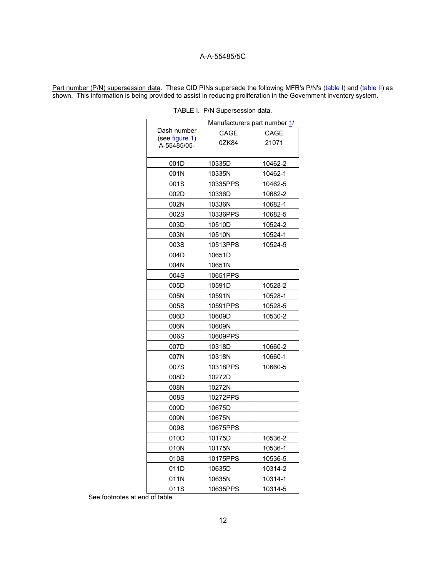<span id="page-11-0"></span>Part number (P/N) supersession data. These CID PINs supersede the following MFR's P/N's (table I) and [\(table II\)](#page-12-0) as shown. This information is being provided to assist in reducing proliferation in the Government inventory system.

|                               | Manufacturers part number 1/ |         |
|-------------------------------|------------------------------|---------|
| Dash number                   | CAGE                         | CAGE    |
| (see figure 1)<br>A-55485/05- | 0ZK84                        | 21071   |
|                               |                              |         |
| 001D                          | 10335D                       | 10462-2 |
| 001N                          | 10335N                       | 10462-1 |
| 001S                          | 10335PPS                     | 10462-5 |
| 002D                          | 10336D                       | 10682-2 |
| 002N                          | 10336N                       | 10682-1 |
| 002S                          | 10336PPS                     | 10682-5 |
| 003D                          | 10510D                       | 10524-2 |
| 003N                          | 10510N                       | 10524-1 |
| 003S                          | 10513PPS                     | 10524-5 |
| 004D                          | 10651D                       |         |
| 004N                          | 10651N                       |         |
| 004S                          | 10651PPS                     |         |
| 005D                          | 10591D                       | 10528-2 |
| 005N                          | 10591N                       | 10528-1 |
| 005S                          | 10591PPS                     | 10528-5 |
| 006D                          | 10609D                       | 10530-2 |
| 006N                          | 10609N                       |         |
| 006S                          | 10609PPS                     |         |
| 007D                          | 10318D                       | 10660-2 |
| 007N                          | 10318N                       | 10660-1 |
| 007S                          | 10318PPS                     | 10660-5 |
| 008D                          | 10272D                       |         |
| 008N                          | 10272N                       |         |
| 008S                          | 10272PPS                     |         |
| 009D                          | 10675D                       |         |
| 009N                          | 10675N                       |         |
| 009S                          | 10675PPS                     |         |
| 010D                          | 10175D                       | 10536-2 |
| 010N                          | 10175N                       | 10536-1 |
| 010S                          | 10175PPS                     | 10536-5 |
| 011D                          | 10635D                       | 10314-2 |
| 011N                          | 10635N                       | 10314-1 |
| 011S                          | 10635PPS                     | 10314-5 |

|  |  |  | TABLE I. P/N Supersession data. |  |
|--|--|--|---------------------------------|--|
|--|--|--|---------------------------------|--|

See footnotes at end of table.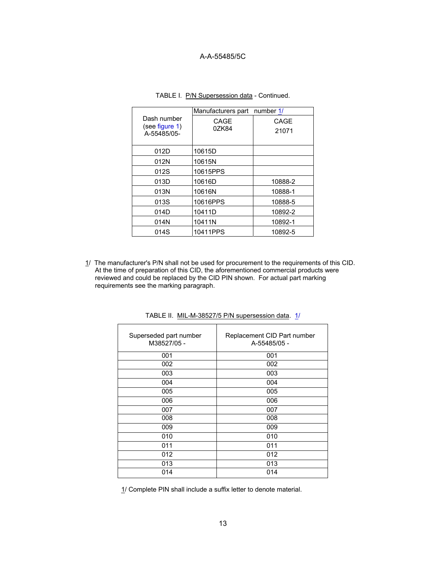<span id="page-12-0"></span>

|                               | Manufacturers part number 1/ |         |
|-------------------------------|------------------------------|---------|
| Dash number<br>(see figure 1) | CAGE                         | CAGE    |
| A-55485/05-                   | 0ZK84                        | 21071   |
|                               |                              |         |
| 012D                          | 10615D                       |         |
| 012N                          | 10615N                       |         |
| 012S                          | 10615PPS                     |         |
| 013D                          | 10616D                       | 10888-2 |
| 013N                          | 10616N                       | 10888-1 |
| 013S                          | 10616PPS                     | 10888-5 |
| 014D                          | 10411D                       | 10892-2 |
| 014N                          | 10411N                       | 10892-1 |
| 014S                          | 10411PPS                     | 10892-5 |

TABLE I. P/N Supersession data - Continued.

1/ The manufacturer's P/N shall not be used for procurement to the requirements of this CID. At the time of preparation of this CID, the aforementioned commercial products were reviewed and could be replaced by the CID PIN shown. For actual part marking requirements see the marking paragraph.

| Superseded part number<br>M38527/05 - | Replacement CID Part number<br>A-55485/05 - |
|---------------------------------------|---------------------------------------------|
| 001                                   | 001                                         |
| 002                                   | 002                                         |
| 003                                   | 003                                         |
| 004                                   | 004                                         |
| 005                                   | 005                                         |
| 006                                   | 006                                         |
| 007                                   | 007                                         |
| 008                                   | 008                                         |
| 009                                   | 009                                         |
| 010                                   | 010                                         |
| 011                                   | 011                                         |
| 012                                   | 012                                         |
| 013                                   | 013                                         |
| 014                                   | 014                                         |

TABLE II. MIL-M-38527/5 P/N supersession data. 1/

1/ Complete PIN shall include a suffix letter to denote material.